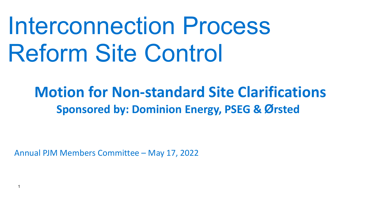# Interconnection Process Reform Site Control

# **Motion for Non-standard Site Clarifications Sponsored by: Dominion Energy, PSEG & Ørsted**

Annual PJM Members Committee – May 17, 2022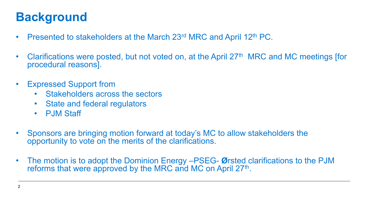### **Background**

- Presented to stakeholders at the March 23<sup>rd</sup> MRC and April 12<sup>th</sup> PC.
- Clarifications were posted, but not voted on, at the April 27<sup>th</sup> MRC and MC meetings [for procedural reasons].
- Expressed Support from
	- Stakeholders across the sectors
	- State and federal regulators
	- P.IM Staff
- Sponsors are bringing motion forward at today's MC to allow stakeholders the opportunity to vote on the merits of the clarifications.
- The motion is to adopt the Dominion Energy –PSEG- **Ø**rsted clarifications to the PJM reforms that were approved by the MRC and MC on April 27<sup>th</sup>.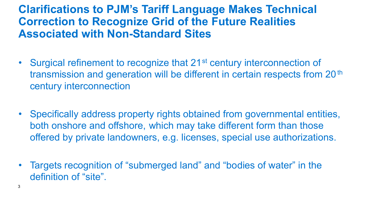#### **Clarifications to PJM's Tariff Language Makes Technical Correction to Recognize Grid of the Future Realities Associated with Non-Standard Sites**

- Surgical refinement to recognize that 21<sup>st</sup> century interconnection of transmission and generation will be different in certain respects from 20<sup>th</sup> century interconnection
- Specifically address property rights obtained from governmental entities, both onshore and offshore, which may take different form than those offered by private landowners, e.g. licenses, special use authorizations.
- Targets recognition of "submerged land" and "bodies of water" in the definition of "site".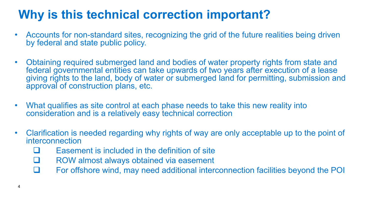## **Why is this technical correction important?**

- Accounts for non-standard sites, recognizing the grid of the future realities being driven by federal and state public policy.
- Obtaining required submerged land and bodies of water property rights from state and federal governmental entities can take upwards of two years after execution of a lease giving rights to the land, body of water or submerged land for permitting, submission and approval of construction plans, etc.
- What qualifies as site control at each phase needs to take this new reality into consideration and is a relatively easy technical correction
- Clarification is needed regarding why rights of way are only acceptable up to the point of interconnection
	- Easement is included in the definition of site
	- $\Box$  ROW almost always obtained via easement
	- $\Box$  For offshore wind, may need additional interconnection facilities beyond the POI